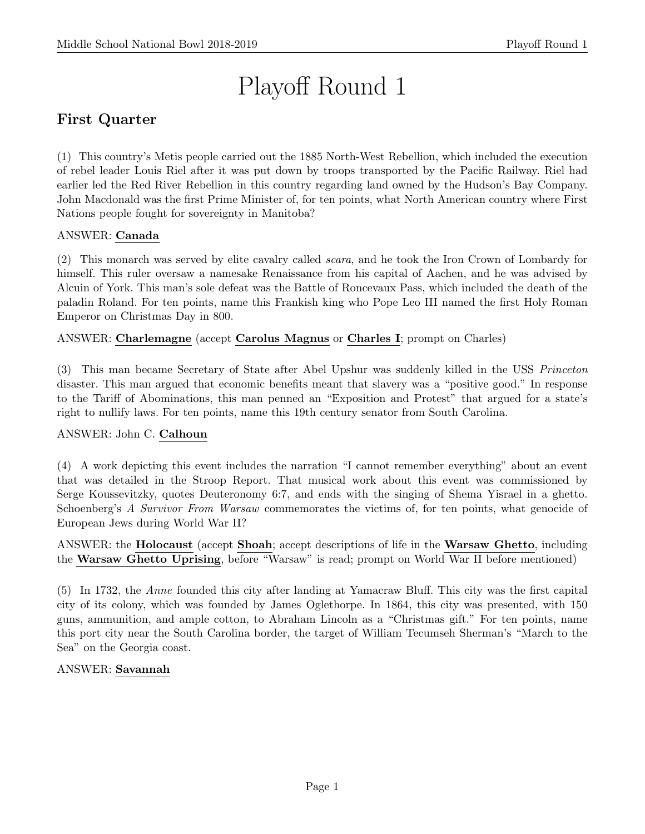# Playoff Round 1

# First Quarter

(1) This country's Metis people carried out the 1885 North-West Rebellion, which included the execution of rebel leader Louis Riel after it was put down by troops transported by the Pacific Railway. Riel had earlier led the Red River Rebellion in this country regarding land owned by the Hudson's Bay Company. John Macdonald was the first Prime Minister of, for ten points, what North American country where First Nations people fought for sovereignty in Manitoba?

# ANSWER: Canada

(2) This monarch was served by elite cavalry called scara, and he took the Iron Crown of Lombardy for himself. This ruler oversaw a namesake Renaissance from his capital of Aachen, and he was advised by Alcuin of York. This man's sole defeat was the Battle of Roncevaux Pass, which included the death of the paladin Roland. For ten points, name this Frankish king who Pope Leo III named the first Holy Roman Emperor on Christmas Day in 800.

ANSWER: Charlemagne (accept Carolus Magnus or Charles I; prompt on Charles)

(3) This man became Secretary of State after Abel Upshur was suddenly killed in the USS Princeton disaster. This man argued that economic benefits meant that slavery was a "positive good." In response to the Tariff of Abominations, this man penned an "Exposition and Protest" that argued for a state's right to nullify laws. For ten points, name this 19th century senator from South Carolina.

#### ANSWER: John C. Calhoun

(4) A work depicting this event includes the narration "I cannot remember everything" about an event that was detailed in the Stroop Report. That musical work about this event was commissioned by Serge Koussevitzky, quotes Deuteronomy 6:7, and ends with the singing of Shema Yisrael in a ghetto. Schoenberg's A Survivor From Warsaw commemorates the victims of, for ten points, what genocide of European Jews during World War II?

ANSWER: the Holocaust (accept Shoah; accept descriptions of life in the Warsaw Ghetto, including the Warsaw Ghetto Uprising, before "Warsaw" is read; prompt on World War II before mentioned)

(5) In 1732, the Anne founded this city after landing at Yamacraw Bluff. This city was the first capital city of its colony, which was founded by James Oglethorpe. In 1864, this city was presented, with 150 guns, ammunition, and ample cotton, to Abraham Lincoln as a "Christmas gift." For ten points, name this port city near the South Carolina border, the target of William Tecumseh Sherman's "March to the Sea" on the Georgia coast.

#### ANSWER: Savannah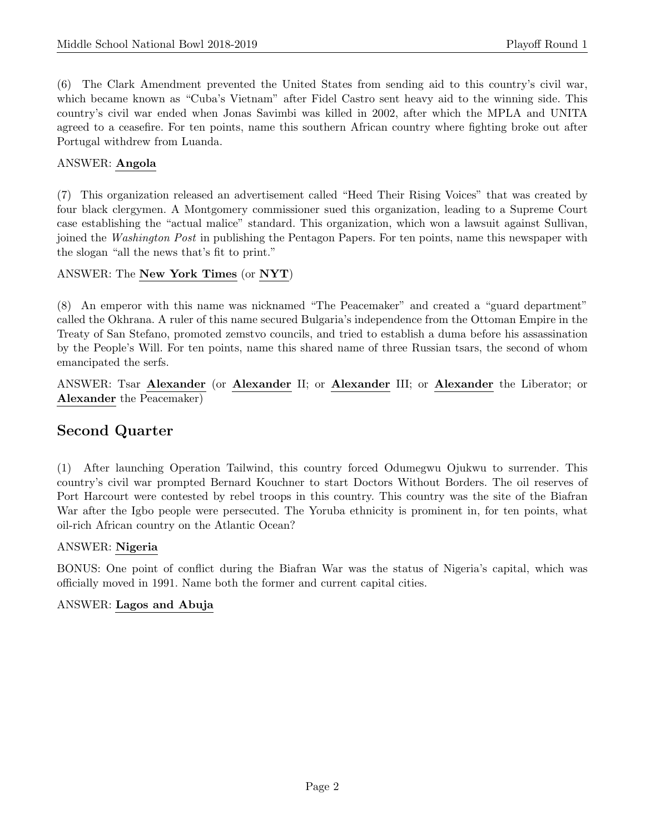(6) The Clark Amendment prevented the United States from sending aid to this country's civil war, which became known as "Cuba's Vietnam" after Fidel Castro sent heavy aid to the winning side. This country's civil war ended when Jonas Savimbi was killed in 2002, after which the MPLA and UNITA agreed to a ceasefire. For ten points, name this southern African country where fighting broke out after Portugal withdrew from Luanda.

# ANSWER: Angola

(7) This organization released an advertisement called "Heed Their Rising Voices" that was created by four black clergymen. A Montgomery commissioner sued this organization, leading to a Supreme Court case establishing the "actual malice" standard. This organization, which won a lawsuit against Sullivan, joined the Washington Post in publishing the Pentagon Papers. For ten points, name this newspaper with the slogan "all the news that's fit to print."

#### ANSWER: The New York Times (or NYT)

(8) An emperor with this name was nicknamed "The Peacemaker" and created a "guard department" called the Okhrana. A ruler of this name secured Bulgaria's independence from the Ottoman Empire in the Treaty of San Stefano, promoted zemstvo councils, and tried to establish a duma before his assassination by the People's Will. For ten points, name this shared name of three Russian tsars, the second of whom emancipated the serfs.

ANSWER: Tsar Alexander (or Alexander II; or Alexander III; or Alexander the Liberator; or Alexander the Peacemaker)

# Second Quarter

(1) After launching Operation Tailwind, this country forced Odumegwu Ojukwu to surrender. This country's civil war prompted Bernard Kouchner to start Doctors Without Borders. The oil reserves of Port Harcourt were contested by rebel troops in this country. This country was the site of the Biafran War after the Igbo people were persecuted. The Yoruba ethnicity is prominent in, for ten points, what oil-rich African country on the Atlantic Ocean?

#### ANSWER: Nigeria

BONUS: One point of conflict during the Biafran War was the status of Nigeria's capital, which was officially moved in 1991. Name both the former and current capital cities.

#### ANSWER: Lagos and Abuja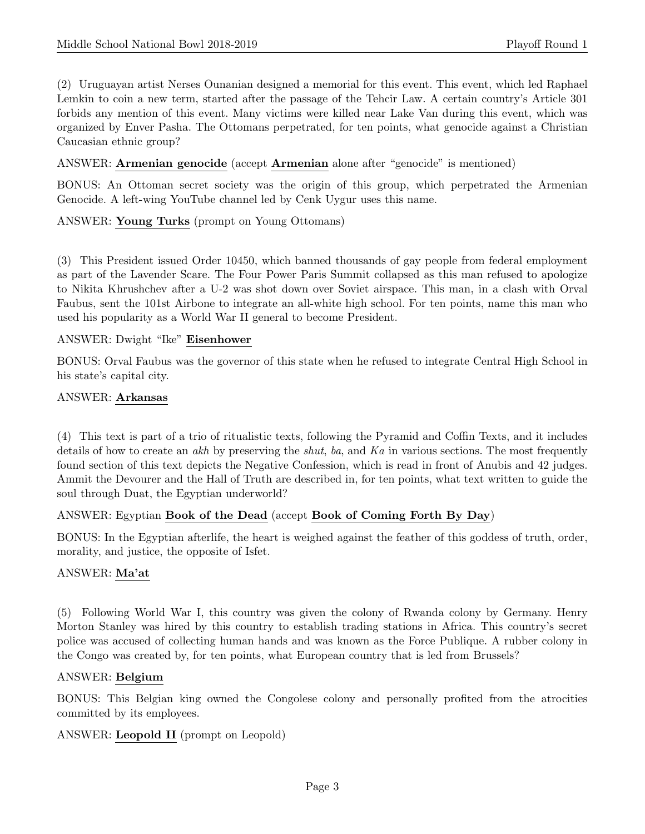(2) Uruguayan artist Nerses Ounanian designed a memorial for this event. This event, which led Raphael Lemkin to coin a new term, started after the passage of the Tehcir Law. A certain country's Article 301 forbids any mention of this event. Many victims were killed near Lake Van during this event, which was organized by Enver Pasha. The Ottomans perpetrated, for ten points, what genocide against a Christian Caucasian ethnic group?

ANSWER: Armenian genocide (accept Armenian alone after "genocide" is mentioned)

BONUS: An Ottoman secret society was the origin of this group, which perpetrated the Armenian Genocide. A left-wing YouTube channel led by Cenk Uygur uses this name.

ANSWER: Young Turks (prompt on Young Ottomans)

(3) This President issued Order 10450, which banned thousands of gay people from federal employment as part of the Lavender Scare. The Four Power Paris Summit collapsed as this man refused to apologize to Nikita Khrushchev after a U-2 was shot down over Soviet airspace. This man, in a clash with Orval Faubus, sent the 101st Airbone to integrate an all-white high school. For ten points, name this man who used his popularity as a World War II general to become President.

#### ANSWER: Dwight "Ike" Eisenhower

BONUS: Orval Faubus was the governor of this state when he refused to integrate Central High School in his state's capital city.

#### ANSWER: Arkansas

(4) This text is part of a trio of ritualistic texts, following the Pyramid and Coffin Texts, and it includes details of how to create an akh by preserving the *shut*, ba, and  $Ka$  in various sections. The most frequently found section of this text depicts the Negative Confession, which is read in front of Anubis and 42 judges. Ammit the Devourer and the Hall of Truth are described in, for ten points, what text written to guide the soul through Duat, the Egyptian underworld?

#### ANSWER: Egyptian Book of the Dead (accept Book of Coming Forth By Day)

BONUS: In the Egyptian afterlife, the heart is weighed against the feather of this goddess of truth, order, morality, and justice, the opposite of Isfet.

#### ANSWER: Ma'at

(5) Following World War I, this country was given the colony of Rwanda colony by Germany. Henry Morton Stanley was hired by this country to establish trading stations in Africa. This country's secret police was accused of collecting human hands and was known as the Force Publique. A rubber colony in the Congo was created by, for ten points, what European country that is led from Brussels?

#### ANSWER: Belgium

BONUS: This Belgian king owned the Congolese colony and personally profited from the atrocities committed by its employees.

ANSWER: Leopold II (prompt on Leopold)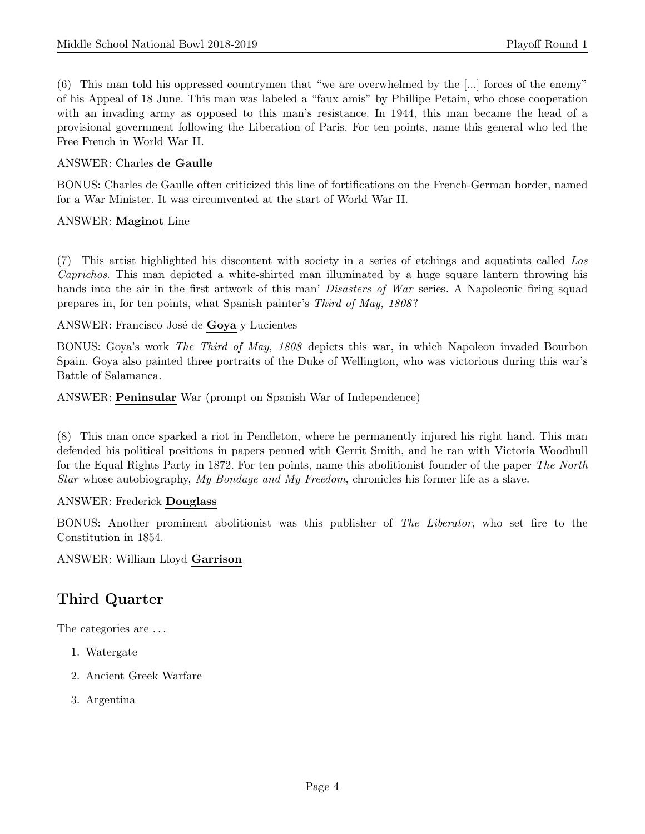(6) This man told his oppressed countrymen that "we are overwhelmed by the [...] forces of the enemy" of his Appeal of 18 June. This man was labeled a "faux amis" by Phillipe Petain, who chose cooperation with an invading army as opposed to this man's resistance. In 1944, this man became the head of a provisional government following the Liberation of Paris. For ten points, name this general who led the Free French in World War II.

#### ANSWER: Charles de Gaulle

BONUS: Charles de Gaulle often criticized this line of fortifications on the French-German border, named for a War Minister. It was circumvented at the start of World War II.

#### ANSWER: Maginot Line

(7) This artist highlighted his discontent with society in a series of etchings and aquatints called Los Caprichos. This man depicted a white-shirted man illuminated by a huge square lantern throwing his hands into the air in the first artwork of this man' Disasters of War series. A Napoleonic firing squad prepares in, for ten points, what Spanish painter's Third of May, 1808 ?

ANSWER: Francisco José de Goya y Lucientes

BONUS: Goya's work The Third of May, 1808 depicts this war, in which Napoleon invaded Bourbon Spain. Goya also painted three portraits of the Duke of Wellington, who was victorious during this war's Battle of Salamanca.

ANSWER: Peninsular War (prompt on Spanish War of Independence)

(8) This man once sparked a riot in Pendleton, where he permanently injured his right hand. This man defended his political positions in papers penned with Gerrit Smith, and he ran with Victoria Woodhull for the Equal Rights Party in 1872. For ten points, name this abolitionist founder of the paper The North Star whose autobiography, My Bondage and My Freedom, chronicles his former life as a slave.

#### ANSWER: Frederick Douglass

BONUS: Another prominent abolitionist was this publisher of The Liberator, who set fire to the Constitution in 1854.

ANSWER: William Lloyd Garrison

# Third Quarter

The categories are . . .

- 1. Watergate
- 2. Ancient Greek Warfare
- 3. Argentina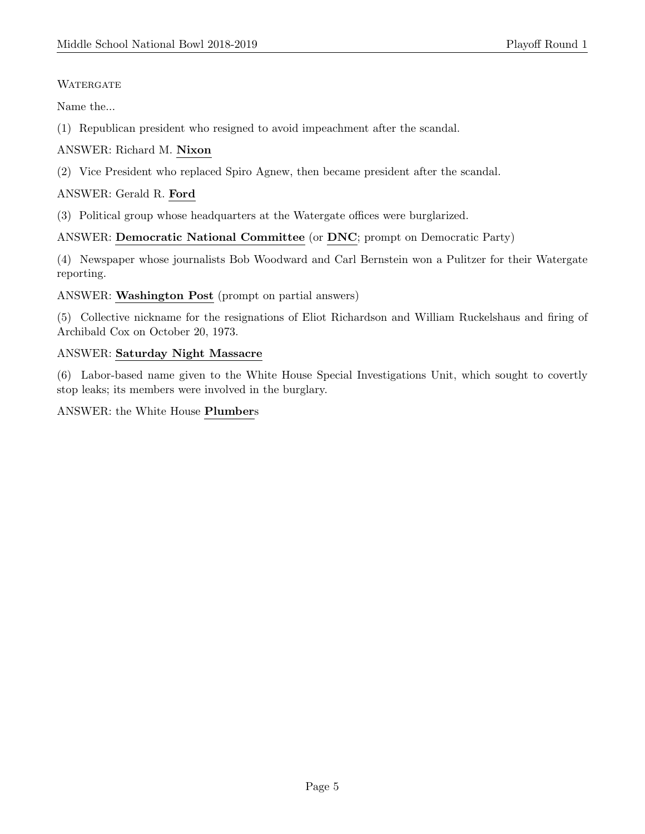# **WATERGATE**

Name the...

(1) Republican president who resigned to avoid impeachment after the scandal.

# ANSWER: Richard M. Nixon

(2) Vice President who replaced Spiro Agnew, then became president after the scandal.

# ANSWER: Gerald R. Ford

(3) Political group whose headquarters at the Watergate offices were burglarized.

# ANSWER: Democratic National Committee (or DNC; prompt on Democratic Party)

(4) Newspaper whose journalists Bob Woodward and Carl Bernstein won a Pulitzer for their Watergate reporting.

#### ANSWER: Washington Post (prompt on partial answers)

(5) Collective nickname for the resignations of Eliot Richardson and William Ruckelshaus and firing of Archibald Cox on October 20, 1973.

#### ANSWER: Saturday Night Massacre

(6) Labor-based name given to the White House Special Investigations Unit, which sought to covertly stop leaks; its members were involved in the burglary.

#### ANSWER: the White House Plumbers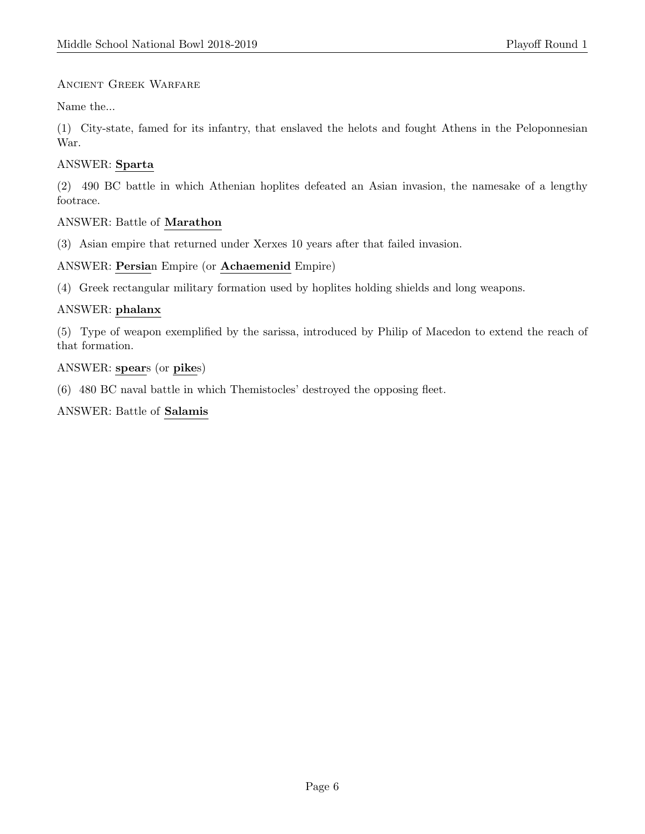### Ancient Greek Warfare

Name the...

(1) City-state, famed for its infantry, that enslaved the helots and fought Athens in the Peloponnesian War.

# ANSWER: Sparta

(2) 490 BC battle in which Athenian hoplites defeated an Asian invasion, the namesake of a lengthy footrace.

#### ANSWER: Battle of Marathon

(3) Asian empire that returned under Xerxes 10 years after that failed invasion.

# ANSWER: Persian Empire (or Achaemenid Empire)

(4) Greek rectangular military formation used by hoplites holding shields and long weapons.

#### ANSWER: phalanx

(5) Type of weapon exemplified by the sarissa, introduced by Philip of Macedon to extend the reach of that formation.

# ANSWER: spears (or pikes)

(6) 480 BC naval battle in which Themistocles' destroyed the opposing fleet.

#### ANSWER: Battle of Salamis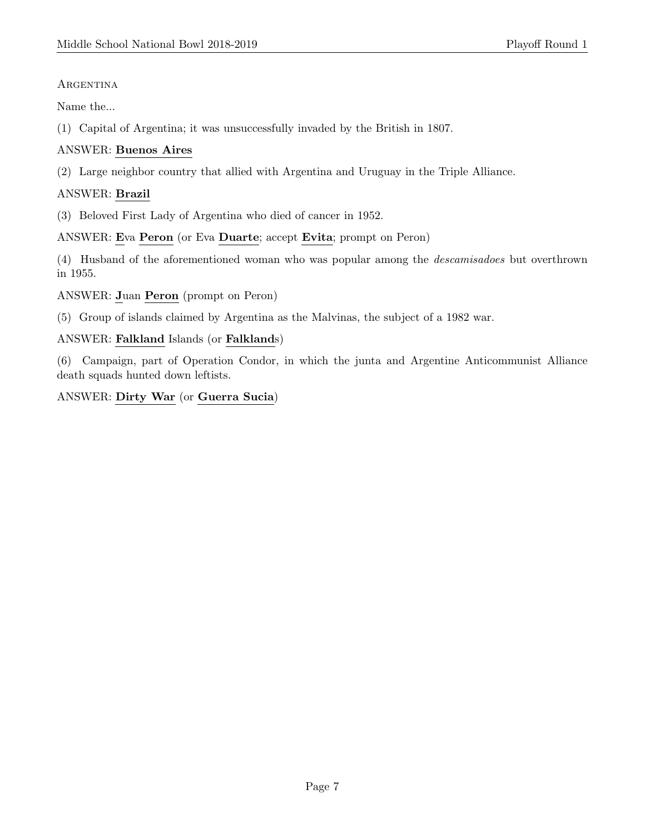#### **ARGENTINA**

Name the...

(1) Capital of Argentina; it was unsuccessfully invaded by the British in 1807.

# ANSWER: Buenos Aires

(2) Large neighbor country that allied with Argentina and Uruguay in the Triple Alliance.

# ANSWER: Brazil

(3) Beloved First Lady of Argentina who died of cancer in 1952.

#### ANSWER: Eva Peron (or Eva Duarte; accept Evita; prompt on Peron)

(4) Husband of the aforementioned woman who was popular among the descamisadoes but overthrown in 1955.

ANSWER: Juan Peron (prompt on Peron)

(5) Group of islands claimed by Argentina as the Malvinas, the subject of a 1982 war.

#### ANSWER: Falkland Islands (or Falklands)

(6) Campaign, part of Operation Condor, in which the junta and Argentine Anticommunist Alliance death squads hunted down leftists.

# ANSWER: Dirty War (or Guerra Sucia)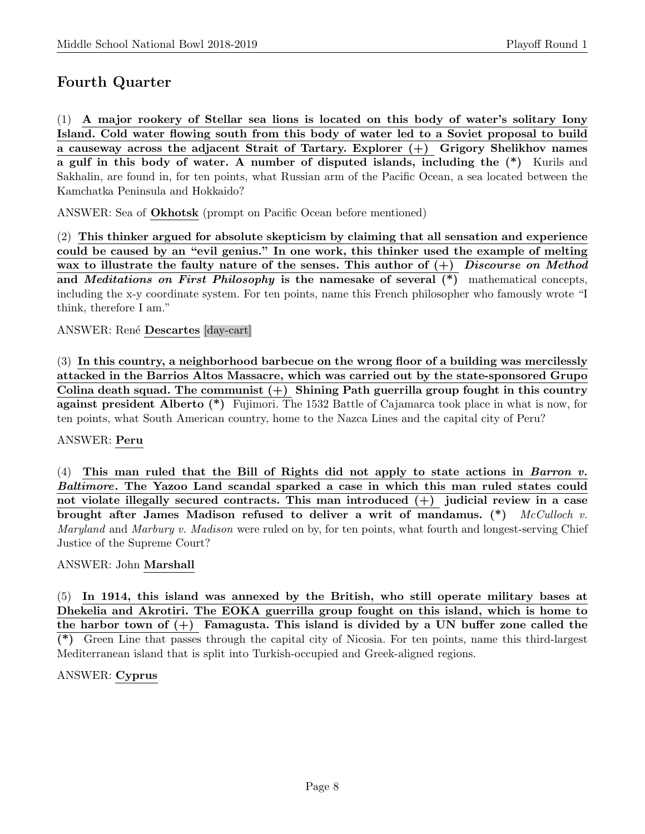# Fourth Quarter

(1) A major rookery of Stellar sea lions is located on this body of water's solitary Iony Island. Cold water flowing south from this body of water led to a Soviet proposal to build a causeway across the adjacent Strait of Tartary. Explorer  $(+)$  Grigory Shelikhov names a gulf in this body of water. A number of disputed islands, including the (\*) Kurils and Sakhalin, are found in, for ten points, what Russian arm of the Pacific Ocean, a sea located between the Kamchatka Peninsula and Hokkaido?

ANSWER: Sea of Okhotsk (prompt on Pacific Ocean before mentioned)

(2) This thinker argued for absolute skepticism by claiming that all sensation and experience could be caused by an "evil genius." In one work, this thinker used the example of melting wax to illustrate the faulty nature of the senses. This author of  $(+)$  Discourse on Method and *Meditations on First Philosophy* is the namesake of several  $(*)$  mathematical concepts, including the x-y coordinate system. For ten points, name this French philosopher who famously wrote "I think, therefore I am."

ANSWER: René Descartes [day-cart]

(3) In this country, a neighborhood barbecue on the wrong floor of a building was mercilessly attacked in the Barrios Altos Massacre, which was carried out by the state-sponsored Grupo Colina death squad. The communist  $(+)$  Shining Path guerrilla group fought in this country against president Alberto (\*) Fujimori. The 1532 Battle of Cajamarca took place in what is now, for ten points, what South American country, home to the Nazca Lines and the capital city of Peru?

#### ANSWER: Peru

(4) This man ruled that the Bill of Rights did not apply to state actions in Barron v. Baltimore. The Yazoo Land scandal sparked a case in which this man ruled states could not violate illegally secured contracts. This man introduced  $(+)$  judicial review in a case brought after James Madison refused to deliver a writ of mandamus.  $(*)$  McCulloch v. Maryland and Marbury v. Madison were ruled on by, for ten points, what fourth and longest-serving Chief Justice of the Supreme Court?

#### ANSWER: John Marshall

(5) In 1914, this island was annexed by the British, who still operate military bases at Dhekelia and Akrotiri. The EOKA guerrilla group fought on this island, which is home to the harbor town of  $(+)$  Famagusta. This island is divided by a UN buffer zone called the (\*) Green Line that passes through the capital city of Nicosia. For ten points, name this third-largest Mediterranean island that is split into Turkish-occupied and Greek-aligned regions.

#### ANSWER: Cyprus